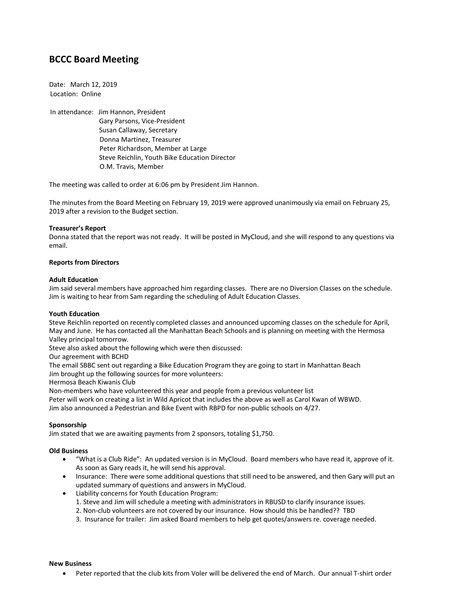# **BCCC Board Meeting**

Date: March 12, 2019 Location: Online

In attendance: Jim Hannon, President Gary Parsons, Vice-President Susan Callaway, Secretary Donna Martinez, Treasurer Peter Richardson, Member at Large Steve Reichlin, Youth Bike Education Director O.M. Travis, Member

The meeting was called to order at 6:06 pm by President Jim Hannon.

The minutes from the Board Meeting on February 19, 2019 were approved unanimously via email on February 25, 2019 after a revision to the Budget section.

## **Treasurer's Report**

Donna stated that the report was not ready. It will be posted in MyCloud, and she will respond to any questions via email.

### **Reports from Directors**

### **Adult Education**

Jim said several members have approached him regarding classes. There are no Diversion Classes on the schedule. Jim is waiting to hear from Sam regarding the scheduling of Adult Education Classes.

### **Youth Education**

Steve Reichlin reported on recently completed classes and announced upcoming classes on the schedule for April, May and June. He has contacted all the Manhattan Beach Schools and is planning on meeting with the Hermosa Valley principal tomorrow.

Steve also asked about the following which were then discussed:

Our agreement with BCHD

The email SBBC sent out regarding a Bike Education Program they are going to start in Manhattan Beach

Jim brought up the following sources for more volunteers:

Hermosa Beach Kiwanis Club

Non-members who have volunteered this year and people from a previous volunteer list

Peter will work on creating a list in Wild Apricot that includes the above as well as Carol Kwan of WBWD. Jim also announced a Pedestrian and Bike Event with RBPD for non-public schools on 4/27.

### **Sponsorship**

Jim stated that we are awaiting payments from 2 sponsors, totaling \$1,750.

### **Old Business**

- "What is a Club Ride": An updated version is in MyCloud. Board members who have read it, approve of it. As soon as Gary reads it, he will send his approval.
- Insurance: There were some additional questions that still need to be answered, and then Gary will put an updated summary of questions and answers in MyCloud.
- Liability concerns for Youth Education Program:
	- 1. Steve and Jim will schedule a meeting with administrators in RBUSD to clarify insurance issues.
	- 2. Non-club volunteers are not covered by our insurance. How should this be handled?? TBD
	- 3. Insurance for trailer: Jim asked Board members to help get quotes/answers re. coverage needed.

#### **New Business**

• Peter reported that the club kits from Voler will be delivered the end of March. Our annual T-shirt order